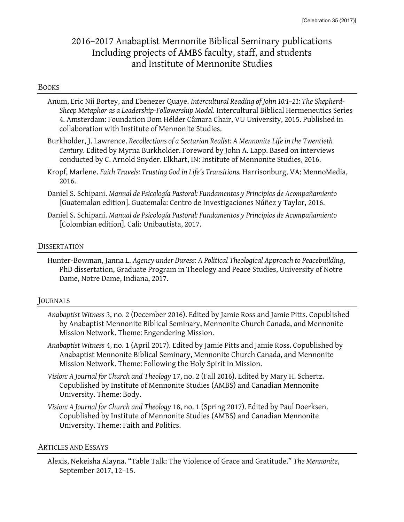# 2016–2017 Anabaptist Mennonite Biblical Seminary publications Including projects of AMBS faculty, staff, and students and Institute of Mennonite Studies

#### BOOKS

- Anum, Eric Nii Bortey, and Ebenezer Quaye. *Intercultural Reading of John 10:1–21: The Shepherd-Sheep Metaphor as a Leadership-Followership Model*. Intercultural Biblical Hermeneutics Series 4. Amsterdam: Foundation Dom Hélder Câmara Chair, VU University, 2015. Published in collaboration with Institute of Mennonite Studies.
- Burkholder, J. Lawrence. *Recollections of a Sectarian Realist: A Mennonite Life in the Twentieth Century*. Edited by Myrna Burkholder. Foreword by John A. Lapp. Based on interviews conducted by C. Arnold Snyder. Elkhart, IN: Institute of Mennonite Studies, 2016.
- Kropf, Marlene. *Faith Travels: Trusting God in Life's Transitions.* Harrisonburg, VA: MennoMedia, 2016.
- Daniel S. Schipani. *Manual de Psicología Pastoral: Fundamentos y Principios de Acompañamiento* [Guatemalan edition]. Guatemala: Centro de Investigaciones Núñez y Taylor, 2016.
- Daniel S. Schipani. *Manual de Psicología Pastoral: Fundamentos y Principios de Acompañamiento* [Colombian edition]. Cali: Unibautista, 2017.

### **DISSERTATION**

Hunter-Bowman, Janna L. *Agency under Duress: A Political Theological Approach to Peacebuilding*. PhD dissertation, Graduate Program in Theology and Peace Studies, University of Notre Dame, Notre Dame, Indiana, 2017.

#### JOURNALS

- *Anabaptist Witness* 3, no. 2 (December 2016). Edited by Jamie Ross and Jamie Pitts. Copublished by Anabaptist Mennonite Biblical Seminary, Mennonite Church Canada, and Mennonite Mission Network. Theme: Engendering Mission.
- *Anabaptist Witness* 4, no. 1 (April 2017). Edited by Jamie Pitts and Jamie Ross. Copublished by Anabaptist Mennonite Biblical Seminary, Mennonite Church Canada, and Mennonite Mission Network. Theme: Following the Holy Spirit in Mission.
- *Vision: A Journal for Church and Theology* 17, no. 2 (Fall 2016). Edited by Mary H. Schertz. Copublished by Institute of Mennonite Studies (AMBS) and Canadian Mennonite University. Theme: Body.
- *Vision: A Journal for Church and Theology* 18, no. 1 (Spring 2017). Edited by Paul Doerksen. Copublished by Institute of Mennonite Studies (AMBS) and Canadian Mennonite University. Theme: Faith and Politics.

#### ARTICLES AND ESSAYS

Alexis, Nekeisha Alayna. "Table Talk: The Violence of Grace and Gratitude." *The Mennonite*, September 2017, 12–15.